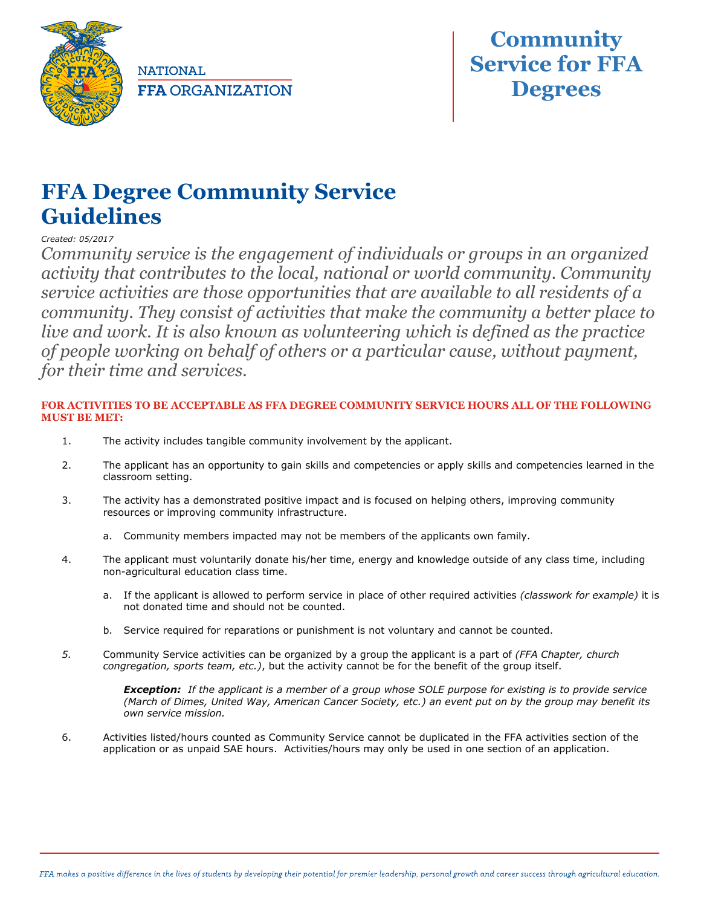

**NATIONAL FFA ORGANIZATION** 



## **FFA Degree Community Service Guidelines**

*Created: 05/2017*

*Community service is the engagement of individuals or groups in an organized activity that contributes to the local, national or world community. Community service activities are those opportunities that are available to all residents of a community. They consist of activities that make the community a better place to live and work. It is also known as volunteering which is defined as the practice of people working on behalf of others or a particular cause, without payment, for their time and services.*

## **FOR ACTIVITIES TO BE ACCEPTABLE AS FFA DEGREE COMMUNITY SERVICE HOURS ALL OF THE FOLLOWING MUST BE MET:**

- 1. The activity includes tangible community involvement by the applicant.
- 2. The applicant has an opportunity to gain skills and competencies or apply skills and competencies learned in the classroom setting.
- 3. The activity has a demonstrated positive impact and is focused on helping others, improving community resources or improving community infrastructure.
	- a. Community members impacted may not be members of the applicants own family.
- 4. The applicant must voluntarily donate his/her time, energy and knowledge outside of any class time, including non-agricultural education class time.
	- a. If the applicant is allowed to perform service in place of other required activities *(classwork for example)* it is not donated time and should not be counted.
	- b. Service required for reparations or punishment is not voluntary and cannot be counted.
- *5.* Community Service activities can be organized by a group the applicant is a part of *(FFA Chapter, church congregation, sports team, etc.)*, but the activity cannot be for the benefit of the group itself.

*Exception: If the applicant is a member of a group whose SOLE purpose for existing is to provide service (March of Dimes, United Way, American Cancer Society, etc.) an event put on by the group may benefit its own service mission.*

6. Activities listed/hours counted as Community Service cannot be duplicated in the FFA activities section of the application or as unpaid SAE hours. Activities/hours may only be used in one section of an application.